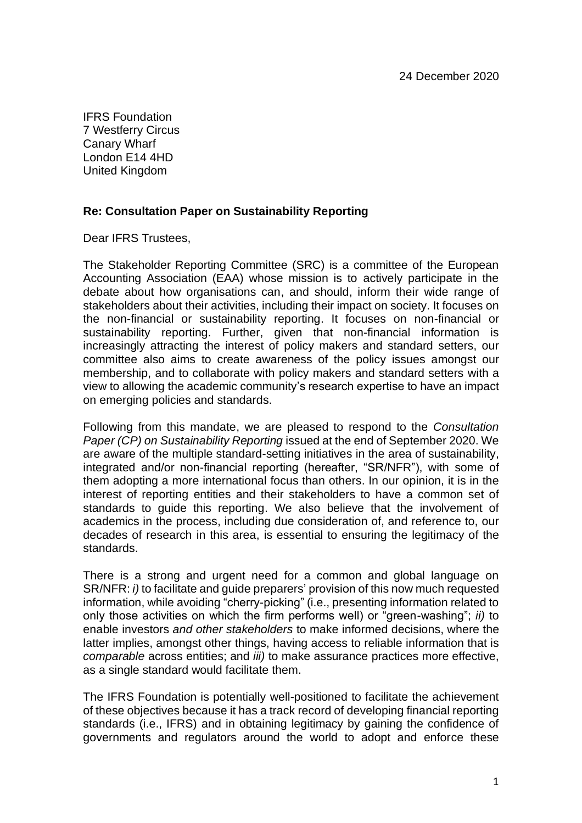IFRS Foundation 7 Westferry Circus Canary Wharf London E14 4HD United Kingdom

#### **Re: Consultation Paper on Sustainability Reporting**

Dear IFRS Trustees,

The Stakeholder Reporting Committee (SRC) is a committee of the European Accounting Association (EAA) whose mission is to actively participate in the debate about how organisations can, and should, inform their wide range of stakeholders about their activities, including their impact on society. It focuses on the non-financial or sustainability reporting. It focuses on non-financial or sustainability reporting. Further, given that non-financial information is increasingly attracting the interest of policy makers and standard setters, our committee also aims to create awareness of the policy issues amongst our membership, and to collaborate with policy makers and standard setters with a view to allowing the academic community's research expertise to have an impact on emerging policies and standards.

Following from this mandate, we are pleased to respond to the *Consultation Paper (CP) on Sustainability Reporting* issued at the end of September 2020. We are aware of the multiple standard-setting initiatives in the area of sustainability, integrated and/or non-financial reporting (hereafter, "SR/NFR"), with some of them adopting a more international focus than others. In our opinion, it is in the interest of reporting entities and their stakeholders to have a common set of standards to guide this reporting. We also believe that the involvement of academics in the process, including due consideration of, and reference to, our decades of research in this area, is essential to ensuring the legitimacy of the standards.

There is a strong and urgent need for a common and global language on SR/NFR: *i)* to facilitate and guide preparers' provision of this now much requested information, while avoiding "cherry-picking" (i.e., presenting information related to only those activities on which the firm performs well) or "green-washing"; *ii)* to enable investors *and other stakeholders* to make informed decisions, where the latter implies, amongst other things, having access to reliable information that is *comparable* across entities; and *iii)* to make assurance practices more effective, as a single standard would facilitate them.

The IFRS Foundation is potentially well-positioned to facilitate the achievement of these objectives because it has a track record of developing financial reporting standards (i.e., IFRS) and in obtaining legitimacy by gaining the confidence of governments and regulators around the world to adopt and enforce these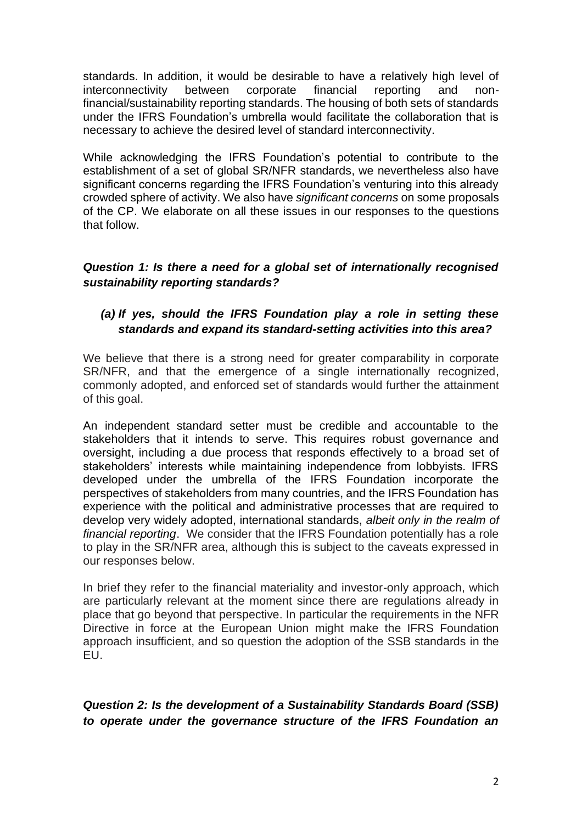standards. In addition, it would be desirable to have a relatively high level of interconnectivity between corporate financial reporting and nonfinancial/sustainability reporting standards. The housing of both sets of standards under the IFRS Foundation's umbrella would facilitate the collaboration that is necessary to achieve the desired level of standard interconnectivity.

While acknowledging the IFRS Foundation's potential to contribute to the establishment of a set of global SR/NFR standards, we nevertheless also have significant concerns regarding the IFRS Foundation's venturing into this already crowded sphere of activity. We also have *significant concerns* on some proposals of the CP. We elaborate on all these issues in our responses to the questions that follow.

#### *Question 1: Is there a need for a global set of internationally recognised sustainability reporting standards?*

## *(a) If yes, should the IFRS Foundation play a role in setting these standards and expand its standard-setting activities into this area?*

We believe that there is a strong need for greater comparability in corporate SR/NFR, and that the emergence of a single internationally recognized, commonly adopted, and enforced set of standards would further the attainment of this goal.

An independent standard setter must be credible and accountable to the stakeholders that it intends to serve. This requires robust governance and oversight, including a due process that responds effectively to a broad set of stakeholders' interests while maintaining independence from lobbyists. IFRS developed under the umbrella of the IFRS Foundation incorporate the perspectives of stakeholders from many countries, and the IFRS Foundation has experience with the political and administrative processes that are required to develop very widely adopted, international standards, *albeit only in the realm of financial reporting*. We consider that the IFRS Foundation potentially has a role to play in the SR/NFR area, although this is subject to the caveats expressed in our responses below.

In brief they refer to the financial materiality and investor-only approach, which are particularly relevant at the moment since there are regulations already in place that go beyond that perspective. In particular the requirements in the NFR Directive in force at the European Union might make the IFRS Foundation approach insufficient, and so question the adoption of the SSB standards in the EU.

*Question 2: Is the development of a Sustainability Standards Board (SSB) to operate under the governance structure of the IFRS Foundation an*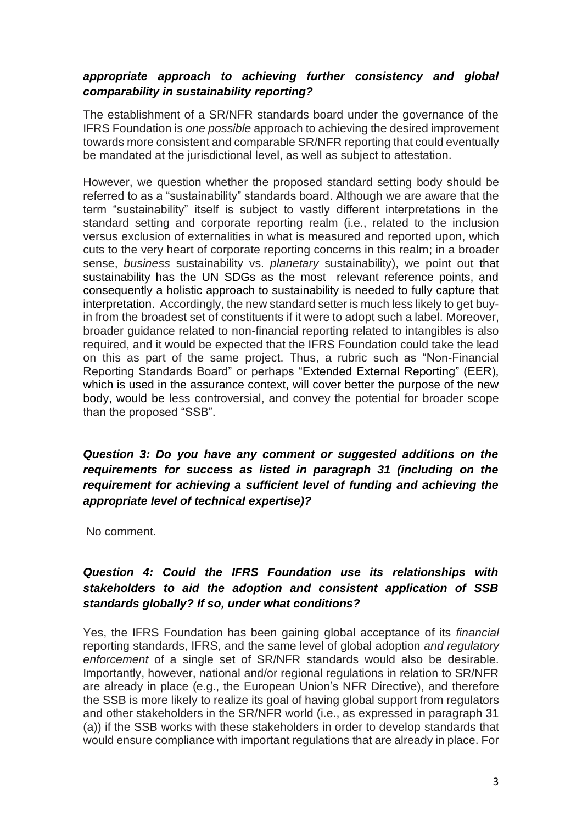### *appropriate approach to achieving further consistency and global comparability in sustainability reporting?*

The establishment of a SR/NFR standards board under the governance of the IFRS Foundation is *one possible* approach to achieving the desired improvement towards more consistent and comparable SR/NFR reporting that could eventually be mandated at the jurisdictional level, as well as subject to attestation.

However, we question whether the proposed standard setting body should be referred to as a "sustainability" standards board. Although we are aware that the term "sustainability" itself is subject to vastly different interpretations in the standard setting and corporate reporting realm (i.e., related to the inclusion versus exclusion of externalities in what is measured and reported upon, which cuts to the very heart of corporate reporting concerns in this realm; in a broader sense, *business* sustainability vs. *planetary* sustainability), we point out that sustainability has the UN SDGs as the most relevant reference points, and consequently a holistic approach to sustainability is needed to fully capture that interpretation. Accordingly, the new standard setter is much less likely to get buyin from the broadest set of constituents if it were to adopt such a label. Moreover, broader guidance related to non-financial reporting related to intangibles is also required, and it would be expected that the IFRS Foundation could take the lead on this as part of the same project. Thus, a rubric such as "Non-Financial Reporting Standards Board" or perhaps "Extended External Reporting" (EER), which is used in the assurance context, will cover better the purpose of the new body, would be less controversial, and convey the potential for broader scope than the proposed "SSB".

*Question 3: Do you have any comment or suggested additions on the requirements for success as listed in paragraph 31 (including on the requirement for achieving a sufficient level of funding and achieving the appropriate level of technical expertise)?*

No comment.

# *Question 4: Could the IFRS Foundation use its relationships with stakeholders to aid the adoption and consistent application of SSB standards globally? If so, under what conditions?*

Yes, the IFRS Foundation has been gaining global acceptance of its *financial* reporting standards, IFRS, and the same level of global adoption *and regulatory enforcement* of a single set of SR/NFR standards would also be desirable. Importantly, however, national and/or regional regulations in relation to SR/NFR are already in place (e.g., the European Union's NFR Directive), and therefore the SSB is more likely to realize its goal of having global support from regulators and other stakeholders in the SR/NFR world (i.e., as expressed in paragraph 31 (a)) if the SSB works with these stakeholders in order to develop standards that would ensure compliance with important regulations that are already in place. For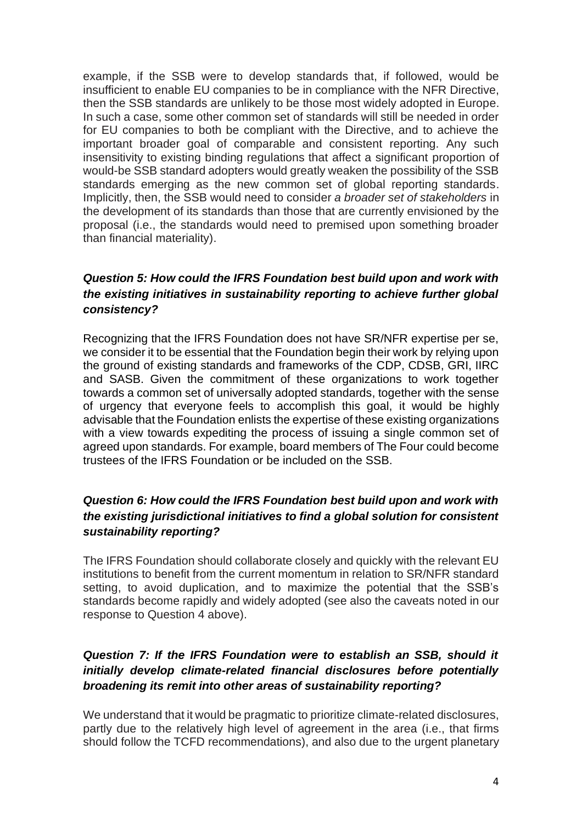example, if the SSB were to develop standards that, if followed, would be insufficient to enable EU companies to be in compliance with the NFR Directive, then the SSB standards are unlikely to be those most widely adopted in Europe. In such a case, some other common set of standards will still be needed in order for EU companies to both be compliant with the Directive, and to achieve the important broader goal of comparable and consistent reporting. Any such insensitivity to existing binding regulations that affect a significant proportion of would-be SSB standard adopters would greatly weaken the possibility of the SSB standards emerging as the new common set of global reporting standards. Implicitly, then, the SSB would need to consider *a broader set of stakeholders* in the development of its standards than those that are currently envisioned by the proposal (i.e., the standards would need to premised upon something broader than financial materiality).

## *Question 5: How could the IFRS Foundation best build upon and work with the existing initiatives in sustainability reporting to achieve further global consistency?*

Recognizing that the IFRS Foundation does not have SR/NFR expertise per se, we consider it to be essential that the Foundation begin their work by relying upon the ground of existing standards and frameworks of the CDP, CDSB, GRI, IIRC and SASB. Given the commitment of these organizations to work together towards a common set of universally adopted standards, together with the sense of urgency that everyone feels to accomplish this goal, it would be highly advisable that the Foundation enlists the expertise of these existing organizations with a view towards expediting the process of issuing a single common set of agreed upon standards. For example, board members of The Four could become trustees of the IFRS Foundation or be included on the SSB.

## *Question 6: How could the IFRS Foundation best build upon and work with the existing jurisdictional initiatives to find a global solution for consistent sustainability reporting?*

The IFRS Foundation should collaborate closely and quickly with the relevant EU institutions to benefit from the current momentum in relation to SR/NFR standard setting, to avoid duplication, and to maximize the potential that the SSB's standards become rapidly and widely adopted (see also the caveats noted in our response to Question 4 above).

# *Question 7: If the IFRS Foundation were to establish an SSB, should it initially develop climate-related financial disclosures before potentially broadening its remit into other areas of sustainability reporting?*

We understand that it would be pragmatic to prioritize climate-related disclosures, partly due to the relatively high level of agreement in the area (i.e., that firms should follow the TCFD recommendations), and also due to the urgent planetary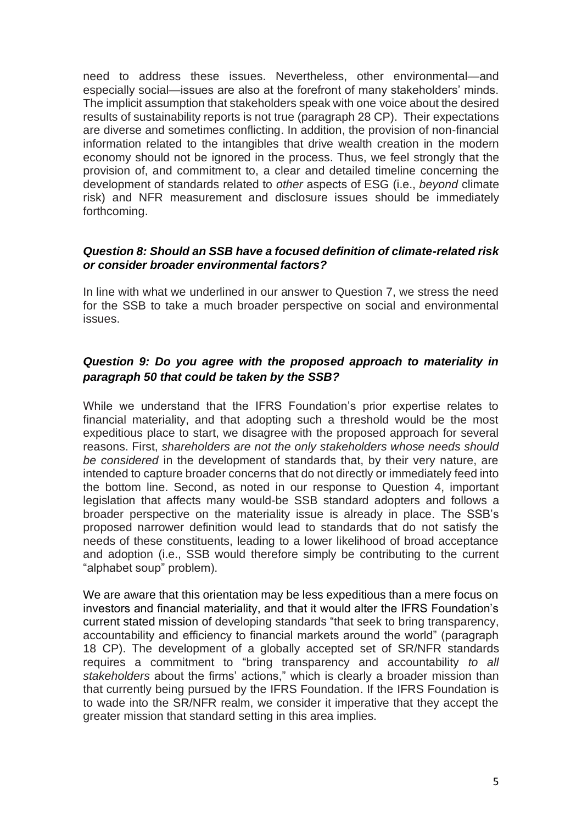need to address these issues. Nevertheless, other environmental—and especially social—issues are also at the forefront of many stakeholders' minds. The implicit assumption that stakeholders speak with one voice about the desired results of sustainability reports is not true (paragraph 28 CP). Their expectations are diverse and sometimes conflicting. In addition, the provision of non-financial information related to the intangibles that drive wealth creation in the modern economy should not be ignored in the process. Thus, we feel strongly that the provision of, and commitment to, a clear and detailed timeline concerning the development of standards related to *other* aspects of ESG (i.e., *beyond* climate risk) and NFR measurement and disclosure issues should be immediately forthcoming.

#### *Question 8: Should an SSB have a focused definition of climate-related risk or consider broader environmental factors?*

In line with what we underlined in our answer to Question 7, we stress the need for the SSB to take a much broader perspective on social and environmental issues.

#### *Question 9: Do you agree with the proposed approach to materiality in paragraph 50 that could be taken by the SSB?*

While we understand that the IFRS Foundation's prior expertise relates to financial materiality, and that adopting such a threshold would be the most expeditious place to start, we disagree with the proposed approach for several reasons. First, *shareholders are not the only stakeholders whose needs should be considered* in the development of standards that, by their very nature, are intended to capture broader concerns that do not directly or immediately feed into the bottom line. Second, as noted in our response to Question 4, important legislation that affects many would-be SSB standard adopters and follows a broader perspective on the materiality issue is already in place. The SSB's proposed narrower definition would lead to standards that do not satisfy the needs of these constituents, leading to a lower likelihood of broad acceptance and adoption (i.e., SSB would therefore simply be contributing to the current "alphabet soup" problem).

We are aware that this orientation may be less expeditious than a mere focus on investors and financial materiality, and that it would alter the IFRS Foundation's current stated mission of developing standards "that seek to bring transparency, accountability and efficiency to financial markets around the world" (paragraph 18 CP). The development of a globally accepted set of SR/NFR standards requires a commitment to "bring transparency and accountability *to all stakeholders* about the firms' actions," which is clearly a broader mission than that currently being pursued by the IFRS Foundation. If the IFRS Foundation is to wade into the SR/NFR realm, we consider it imperative that they accept the greater mission that standard setting in this area implies.